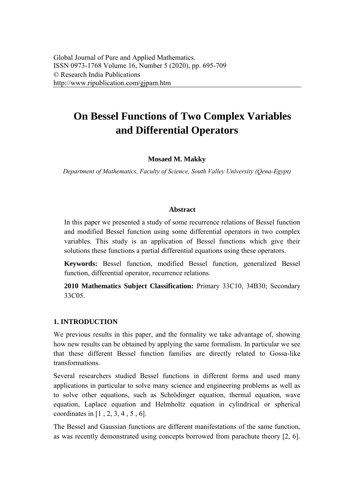# **On Bessel Functions of Two Complex Variables and Differential Operators**

## **Mosaed M. Makky**

*Department of Mathematics, Faculty of Science, South Valley University (Qena-Egypt)* 

## **Abstract**

In this paper we presented a study of some recurrence relations of Bessel function and modified Bessel function using some differential operators in two complex variables. This study is an application of Bessel functions which give their solutions these functions a partial differential equations using these operators.

**Keywords:** Bessel function, modified Bessel function, generalized Bessel function, differential operator, recurrence relations.

**2010 Mathematics Subject Classification:** Primary 33C10, 34B30; Secondary 33C05.

## **1. INTRODUCTION**

We previous results in this paper, and the formality we take advantage of, showing how new results can be obtained by applying the same formalism. In particular we see that these different Bessel function families are directly related to Gossa-like transformations.

Several researchers studied Bessel functions in different forms and used many applications in particular to solve many science and engineering problems as well as to solve other equations, such as Schrödinger equation, thermal equation, wave equation, Laplace equation and Helmholtz equation in cylindrical or spherical coordinates in [1 , 2, 3, 4 , 5 , 6].

The Bessel and Gaussian functions are different manifestations of the same function, as was recently demonstrated using concepts borrowed from parachute theory [2, 6].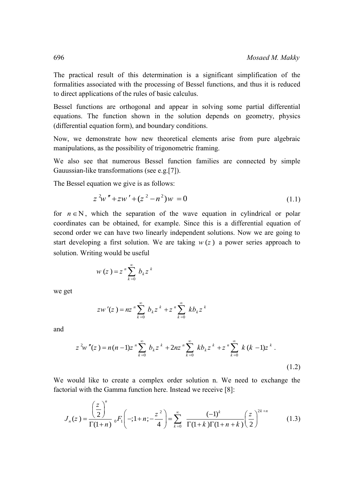The practical result of this determination is a significant simplification of the formalities associated with the processing of Bessel functions, and thus it is reduced to direct applications of the rules of basic calculus.

Bessel functions are orthogonal and appear in solving some partial differential equations. The function shown in the solution depends on geometry, physics (differential equation form), and boundary conditions.

Now, we demonstrate how new theoretical elements arise from pure algebraic manipulations, as the possibility of trigonometric framing.

We also see that numerous Bessel function families are connected by simple Gauussian-like transformations (see e.g.[7]).

The Bessel equation we give is as follows:

$$
z^{2}w'' + zw' + (z^{2} - n^{2})w = 0
$$
\n(1.1)

for  $n \in \mathbb{N}$ , which the separation of the wave equation in cylindrical or polar coordinates can be obtained, for example. Since this is a differential equation of second order we can have two linearly independent solutions. Now we are going to start developing a first solution. We are taking  $w(z)$  a power series approach to solution. Writing would be useful

$$
w(z) = z^n \sum_{k=0}^{\infty} b_k z^k
$$

we get

$$
zw'(z) = nz^{n} \sum_{k=0}^{\infty} b_{k} z^{k} + z^{n} \sum_{k=0}^{\infty} k b_{k} z^{k}
$$

and

$$
zw(z) = nz \sum_{k=0}^{n} b_k z^{k} + z \sum_{k=0}^{n} k b_k z^{k}
$$
  

$$
z^{2}w''(z) = n(n-1)z^{n} \sum_{k=0}^{\infty} b_k z^{k} + 2nz^{n} \sum_{k=0}^{\infty} k b_k z^{k} + z^{n} \sum_{k=0}^{\infty} k (k-1)z^{k}
$$
 (1.2)

We would like to create a complex order solution n. We need to exchange the factorial with the Gamma function here. Instead we receive [8]:

would like to create a complex order solution n. We need to exchange the  
torial with the Gamma function here. Instead we receive [8]:  

$$
J_n(z) = \frac{\left(\frac{z}{2}\right)^n}{\Gamma(1+n)} {}_0F_1\left(-;1+n;-\frac{z^2}{4}\right) = \sum_{k=0}^{\infty} \frac{(-1)^k}{\Gamma(1+k)\Gamma(1+n+k)} \left(\frac{z}{2}\right)^{2k+n}
$$
(1.3)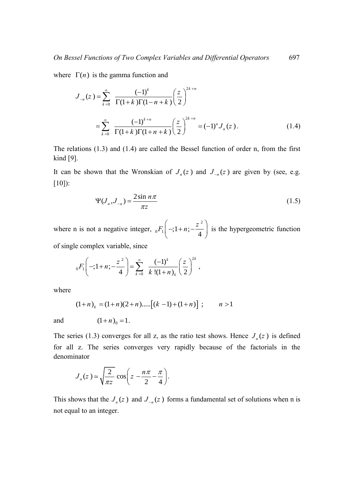where  $\Gamma(n)$  is the [gamma function](http://mathworld.wolfram.com/GammaFunction.html) and

$$
J_{-n}(z) = \sum_{k=0}^{\infty} \frac{(-1)^k}{\Gamma(1+k)\Gamma(1-n+k)} \left(\frac{z}{2}\right)^{2k+n}
$$
  
= 
$$
\sum_{k=0}^{\infty} \frac{(-1)^{k+n}}{\Gamma(1+k)\Gamma(1+n+k)} \left(\frac{z}{2}\right)^{2k+n} = (-1)^n J_n(z).
$$
 (1.4)

The relations (1.3) and (1.4) are called the Bessel function of order n, from the first kind [9].

It can be shown that the Wronskian of  $J_n(z)$  and  $J_{-n}(z)$  are given by (see, e.g. [10]):

$$
\Psi(J_n, J_{-n}) = \frac{2\sin n\pi}{\pi z} \tag{1.5}
$$

where n is not a negative integer,  ${}_{0}F_{1} \left(-;1+n;-\frac{z^{2}}{4}\right)$  $F_1\left(-;1+n;-\frac{z^2}{4}\right)$  is  $\begin{pmatrix} 1 & 1 & 1 \\ 1 & 1 & 1 \\ 1 & 1 & 1 \end{pmatrix}$  is the hypergeometric function of single complex variable, since

e complex variance, since  

$$
{}_{0}F_{1}\left(-;1+n;-\frac{z^{2}}{4}\right)=\sum_{k=0}^{\infty}\frac{(-1)^{k}}{k!(1+n)_{k}}\left(\frac{z}{2}\right)^{2k},
$$

where

$$
(1+n)_k = (1+n)(2+n)....[(k-1)+(1+n)]; \t n > 1
$$

and

$$
(1+n)_0=1.
$$

The series (1.3) converges for all z, as the ratio test shows. Hence  $J_n(z)$  is defined for all z. The series converges very rapidly because of the factorials in the denominator

$$
J_n(z) \approx \sqrt{\frac{2}{\pi z}} \cos \left( z - \frac{n\pi}{2} - \frac{\pi}{4} \right).
$$

This shows that the  $J_n(z)$  and  $J_{-n}(z)$  forms a fundamental set of solutions when n is not equal to an integer.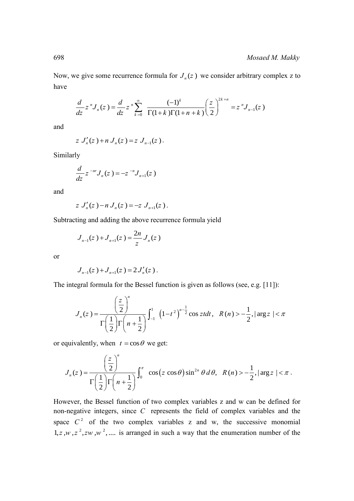Now, we give some recurrence formula for  $J_n(z)$  we consider arbitrary complex z to have

$$
\frac{d}{dz}z^nJ_n(z) = \frac{d}{dz}z^n\sum_{k=0}^{\infty} \frac{(-1)^k}{\Gamma(1+k)\Gamma(1+n+k)} \left(\frac{z}{2}\right)^{2k+n} = z^nJ_{n-1}(z)
$$

and

$$
z J'_n(z) + n J_n(z) = z J_{n-1}(z).
$$

Similarly

$$
\frac{d}{dz}z^{-nr}J_n(z) = -z^{-n}J_{n+1}(z)
$$

and

$$
z J'_n(z) - n J_n(z) = -z J_{n+1}(z).
$$

Subtracting and adding the above recurrence formula yield

$$
J_{n-1}(z) + J_{n+1}(z) = \frac{2n}{z} J_n(z)
$$

or

$$
J_{n-1}(z) + J_{n+1}(z) = 2 J'_n(z) .
$$

The integral formula for the Bessel function is given as follows (see, e.g. [11]):

$$
J_{n-1}(z) + J_{n+1}(z) = 2J_n(z).
$$
  
egral formula for the Bessel function is given as follows (see, e.g. [11]):  

$$
J_n(z) = \frac{\left(\frac{z}{2}\right)^n}{\Gamma\left(\frac{1}{2}\right)\Gamma\left(n + \frac{1}{2}\right)} \int_{-1}^{1} \left(1 - t^2\right)^{n - \frac{1}{2}} \cos z t dt, \quad R(n) > -\frac{1}{2}, |\arg z| < \pi
$$

or equivalently, when  $t = \cos \theta$  we get:

equivalently, when 
$$
t = \cos \theta
$$
 we get:  
\n
$$
J_n(z) = \frac{\left(\frac{z}{2}\right)^n}{\Gamma\left(\frac{1}{2}\right)\Gamma\left(n + \frac{1}{2}\right)} \int_0^{\pi} \cos\left(z \cos \theta\right) \sin^{2n} \theta \, d\theta, \quad R(n) > -\frac{1}{2}, |\arg z| < \pi.
$$

However, the Bessel function of two complex variables z and w can be defined for non-negative integers, since *C* represents the field of complex variables and the space  $C^2$  of the two complex variables z and w, the successive monomial  $1, z, w, z^2, zw, w^2, \dots$  is arranged in such a way that the enumeration number of the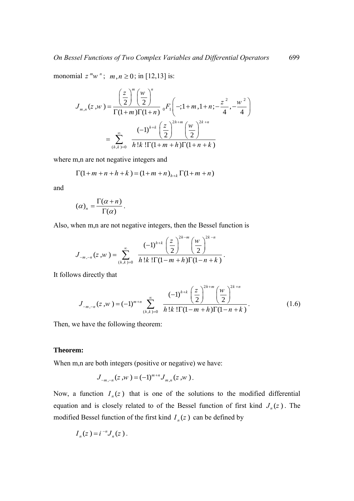monomial  $z^m w^n$ ;  $m, n \ge 0$ ; in [12,13] is:<br> $(z^m (w)^n)$ 

$$
\begin{aligned}\n\text{ial } z \,^m w \,^n; \, & m, n \ge 0; \text{ in } [12, 13] \text{ is:} \\
J_{m,n}(z, w) &= \frac{\left(\frac{z}{2}\right)^m \left(\frac{w}{2}\right)^n}{\Gamma(1+m)\Gamma(1+n)} \, {}_0F_1\left(-; 1+m, 1+n; -\frac{z^2}{4}, -\frac{w^2}{4}\right) \\
&= \sum_{(h,k)=0}^\infty \frac{(-1)^{h+k} \left(\frac{z}{2}\right)^{2h+m} \left(\frac{w}{2}\right)^{2k+n}}{h!k! \Gamma(1+m+h)\Gamma(1+n+k)}\n\end{aligned}
$$

where m,n are not negative integers and  
\n
$$
\Gamma(1+m+n+k) = (1+m+n)_{h+k} \Gamma(1+m+n)
$$

and

$$
(\alpha)_n = \frac{\Gamma(\alpha + n)}{\Gamma(\alpha)}.
$$

Also, when m,n are not negative integers, then the Bessel function is  
\n
$$
J_{-m,-n}(z,w) = \sum_{(h,k)=0}^{\infty} \frac{(-1)^{h+k} \left(\frac{z}{2}\right)^{2h-m} \left(\frac{w}{2}\right)^{2k-n}}{h!k! \Gamma(1-m+h) \Gamma(1-n+k)}.
$$

It follows directly that

$$
\text{vs directly that}
$$
\n
$$
J_{-m,-n}(z, w) = (-1)^{m+n} \sum_{(h,k)=0}^{\infty} \frac{(-1)^{h+k} \left(\frac{z}{2}\right)^{2h+m} \left(\frac{w}{2}\right)^{2k+n}}{h!k! \Gamma(1-m+h) \Gamma(1-n+k)}.
$$
\n(1.6)

Then, we have the following theorem:

#### **Theorem:**

When m,n are both integers (positive or negative) we have:

$$
J_{-m,-n}(z,w) = (-1)^{m+n} J_{m,n}(z,w).
$$

Now, a function  $I_n(z)$  that is one of the solutions to the modified differential equation and is closely related to of the Bessel function of first kind  $J_n(z)$ . The modified Bessel function of the first kind  $I_n(z)$  can be defined by

$$
I_n(z) = i^{-n} J_n(z) .
$$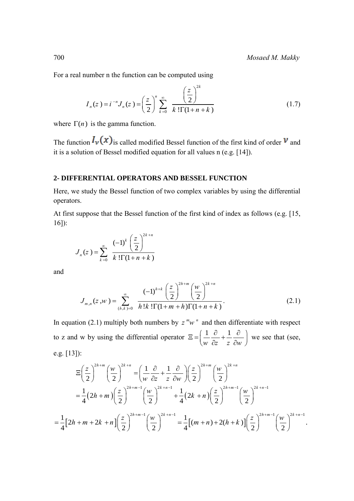For a real number n the function can be computed using  
\n
$$
I_n(z) = i^{-n} J_n(z) = \left(\frac{z}{2}\right)^n \sum_{k=0}^{\infty} \frac{\left(\frac{z}{2}\right)^{2k}}{k! \Gamma(1+n+k)}
$$
\n(1.7)

where  $\Gamma(n)$  is the [gamma function.](http://mathworld.wolfram.com/GammaFunction.html)

The function  $I_v(x)$  is called modified Bessel function of the first kind of order  $v$  and it is a solution of Bessel modified equation for all values n (e.g. [14]).

#### **2- DIFFERENTIAL OPERATORS AND BESSEL FUNCTION**

Here, we study the Bessel function of two complex variables by using the differential operators.

At first suppose that the Bessel function of the first kind of index as follows (e.g. [15, 16]):

$$
J_n(z) = \sum_{k=0}^{\infty} \frac{(-1)^k \left(\frac{z}{2}\right)^{2k+n}}{k! \Gamma(1+n+k)}
$$

and

$$
J_{m,n}(z,w) = \sum_{(h,k)=0}^{\infty} \frac{(-1)^{h+k} \left(\frac{z}{2}\right)^{2h+m} \left(\frac{w}{2}\right)^{2k+n}}{h!k! \Gamma(1+m+h) \Gamma(1+n+k)}.
$$
 (2.1)

In equation (2.1) multiply both numbers by  $z^m w^n$  and then differentiate with respect to z and w by using the differential operator  $\Xi = \left( \frac{1}{2} \frac{\partial}{\partial x} + \frac{1}{2} \right)$  $\Xi = \left(\frac{1}{w} \frac{\partial}{\partial z} + \frac{1}{z} \frac{\partial}{\partial w}\right) w$  we see that (see, e.g. [13]):

e.g. [13]):  
\n
$$
\Xi\left(\frac{z}{2}\right)^{2h+m} \left(\frac{w}{2}\right)^{2k+n} = \left(\frac{1}{w}\frac{\partial}{\partial z} + \frac{1}{z}\frac{\partial}{\partial w}\right) \left(\frac{z}{2}\right)^{2h+m} \left(\frac{w}{2}\right)^{2k+n} \n= \frac{1}{4}(2h+m)\left(\frac{z}{2}\right)^{2h+m-1} \left(\frac{w}{2}\right)^{2k+n-1} + \frac{1}{4}(2k+n)\left(\frac{z}{2}\right)^{2h+m-1} \left(\frac{w}{2}\right)^{2k+n-1} \n= \frac{1}{4}[2h+m+2k+n] \left(\frac{z}{2}\right)^{2h+m-1} \left(\frac{w}{2}\right)^{2k+n-1} = \frac{1}{4}[(m+n)+2(h+k)] \left(\frac{z}{2}\right)^{2h+m-1} \left(\frac{w}{2}\right)^{2k+n-1}.
$$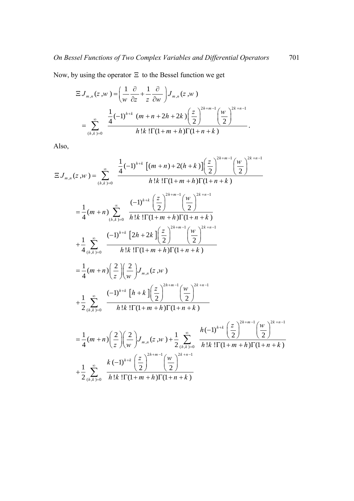Now, by using the operator 
$$
\Xi
$$
 to the Bessel function we get  
\n
$$
\Xi J_{m,n}(z,w) = \left(\frac{1}{w} \frac{\partial}{\partial z} + \frac{1}{z} \frac{\partial}{\partial w}\right) J_{m,n}(z,w)
$$
\n
$$
= \sum_{(h,k)=0}^{\infty} \frac{\frac{1}{4}(-1)^{h+k} (m+n+2h+2k) \left(\frac{z}{2}\right)^{2h+m-1} \left(\frac{w}{2}\right)^{2k+n-1}}{h!k! \Gamma(1+m+h) \Gamma(1+n+k)}.
$$

Also,

Also,  
\n
$$
\Xi J_{m,n}(z,w) = \sum_{(h,k)=0}^{\infty} \frac{\frac{1}{4}(-1)^{h+k} [(m+n)+2(h+k)] (\frac{z}{2})^{2h+m-1} (\frac{w}{2})^{2k+n-1}}{h!k! \Gamma(1+m+h) \Gamma(1+n+k)}
$$
\n
$$
= \frac{1}{4}(m+n) \sum_{(h,k)=0}^{\infty} \frac{(-1)^{h+k} (\frac{z}{2})^{2h+m-1} (\frac{w}{2})^{2k+n-1}}{h!k! \Gamma(1+m+h) \Gamma(1+n+k)}
$$
\n
$$
+ \frac{1}{4} \sum_{(h,k)=0}^{\infty} \frac{(-1)^{h+k} [2h+2k] (\frac{z}{2})^{2h+m-1} (\frac{w}{2})^{2k+n-1}}{h!k! \Gamma(1+m+h) \Gamma(1+n+k)}
$$
\n
$$
= \frac{1}{4}(m+n) (\frac{2}{z}) (\frac{2}{w}) J_{m,n}(z,w)
$$
\n
$$
+ \frac{1}{2} \sum_{(h,k)=0}^{\infty} \frac{(-1)^{h+k} [h+k] (\frac{z}{2})^{2h+m-1} (\frac{w}{2})^{2k+n-1}}{h!k! \Gamma(1+m+h) \Gamma(1+n+k)}
$$
\n
$$
= \frac{1}{4}(m+n) (\frac{2}{z}) (\frac{2}{w}) J_{m,n}(z,w) + \frac{1}{2} \sum_{(h,k)=0}^{\infty} \frac{h(-1)^{h+k} (\frac{z}{2})^{2h+m-1} (\frac{w}{2})^{2k+n-1}}{h!k! \Gamma(1+m+h) \Gamma(1+n+k)}
$$
\n
$$
+ \frac{1}{2} \sum_{(h,k)=0}^{\infty} \frac{k(-1)^{h+k} (\frac{z}{2})^{2h+m-1} (\frac{w}{2})^{2k+n-1}}{h!k! \Gamma(1+m+h) \Gamma(1+n+k)}
$$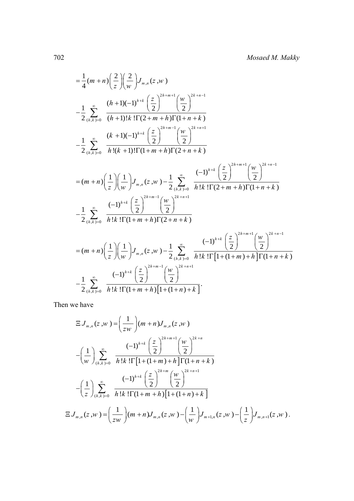$$
= \frac{1}{4}(m+n)\left(\frac{2}{z}\right)\left(\frac{2}{w}\right)J_{m,n}(z,w)
$$
  
\n
$$
- \frac{1}{2}\sum_{(h,k)=0}^{\infty}\frac{(h+1)(-1)^{h+k}\left(\frac{z}{2}\right)^{2h+m+1}(w)}{(h+1)!k!\Gamma(2+m+h)\Gamma(1+n+k)} - \frac{1}{2}\sum_{(h,k)=0}^{\infty}\frac{(k+1)(-1)^{h+k}\left(\frac{z}{2}\right)^{2h+m-1}(w)}{h!(k+1)!\Gamma(1+m+h)\Gamma(2+n+k)} - \frac{1}{2}\sum_{(h,k)=0}^{\infty}\frac{(k+1)(-1)^{h+k}\left(\frac{z}{2}\right)^{2h+m+1}(w)}{h!(k+1)!\Gamma(1+m+h)\Gamma(2+n+k)} - \frac{(m+n)\left(\frac{1}{z}\right)\left(\frac{1}{w}\right)J_{m,n}(z,w) - \frac{1}{2}\sum_{(h,k)=0}^{\infty}\frac{(-1)^{h+k}\left(\frac{z}{2}\right)^{2h+m+1}(w)}{h!k!\Gamma(2+m+h)\Gamma(1+n+k)} - \frac{1}{2}\sum_{(h,k)=0}^{\infty}\frac{(-1)^{h+k}\left(\frac{z}{2}\right)^{2h+m-1}(w)}{h!k!\Gamma(1+m+h)\Gamma(2+n+k)} - \frac{(m+n)\left(\frac{1}{z}\right)\left(\frac{1}{w}\right)J_{m,n}(z,w) - \frac{1}{2}\sum_{(h,k)=0}^{\infty}\frac{(-1)^{h+k}\left(\frac{z}{2}\right)^{2h+m+1}(w)}{h!k!\Gamma(1+(1+m)+h)\Gamma(1+n+k)} - \frac{1}{2}\sum_{(h,k)=0}^{\infty}\frac{(-1)^{h+k}\left(\frac{z}{2}\right)^{2h+m-1}(w)}{h!k!\Gamma(1+(1+m)+h)\Gamma(1+n+k)}.
$$

Then we have

n we have  
\n
$$
\Xi J_{m,n}(z,w) = \left(\frac{1}{zw}\right)(m+n)J_{m,n}(z,w)
$$
\n
$$
-\left(\frac{1}{w}\right)\sum_{(h,k)=0}^{\infty} \frac{(-1)^{h+k}\left(\frac{z}{2}\right)^{2h+m+1} \left(\frac{w}{2}\right)^{2k+n}}{h!k!\Gamma[1+(1+m)+h]\Gamma(1+n+k)}
$$
\n
$$
-\left(\frac{1}{z}\right)\sum_{(h,k)=0}^{\infty} \frac{(-1)^{h+k}\left(\frac{z}{2}\right)^{2h+m} \left(\frac{w}{2}\right)^{2k+n+1}}{h!k!\Gamma(1+m+h)[1+(1+n)+k]}
$$
\n
$$
\Xi J_{m,n}(z,w) = \left(\frac{1}{zw}\right)(m+n)J_{m,n}(z,w) - \left(\frac{1}{w}\right)J_{m+1,n}(z,w) - \left(\frac{1}{z}\right)J_{m,n+1}(z,w).
$$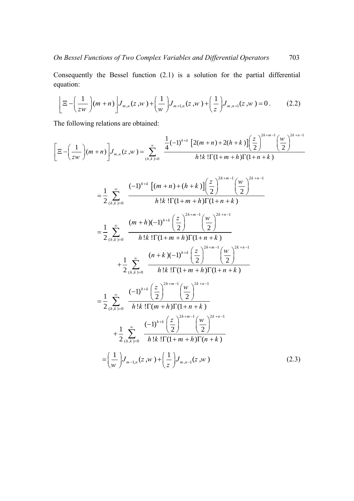equation:

Consequently the Bessel function (2.1) is a solution for the partial differential equation:  
\n
$$
\left[ \Xi - \left( \frac{1}{zw} \right) (m+n) \right] J_{m,n}(z,w) + \left( \frac{1}{w} \right) J_{m+1,n}(z,w) + \left( \frac{1}{z} \right) J_{m,n+1}(z,w) = 0.
$$
 (2.2)

$$
\left[ \frac{2}{2} \left( \frac{1}{2} \pi \right) \left( \frac{1}{2} \pi \right) \right]_{m,n} = \frac{2}{2} \pi \left( \frac{1}{2} \pi \right) \left( \frac{1}{2} \pi \right) \left( \frac{1}{2} \pi \right) \left( \frac{1}{2} \pi \right) \left( \frac{1}{2} \pi \right) \left( \frac{1}{2} \pi \right) \left( \frac{1}{2} \pi \right) \left( \frac{1}{2} \pi \right) \left( \frac{1}{2} \pi \right) \left( \frac{1}{2} \pi \right) \left( \frac{1}{2} \pi \right) \left( \frac{1}{2} \pi \right) \left( \frac{1}{2} \pi \right) \left( \frac{1}{2} \pi \right) \left( \frac{1}{2} \pi \right) \left( \frac{1}{2} \pi \right) \left( \frac{1}{2} \pi \right) \left( \frac{1}{2} \pi \right) \left( \frac{1}{2} \pi \right) \left( \frac{1}{2} \pi \right) \left( \frac{1}{2} \pi \right) \left( \frac{1}{2} \pi \right) \left( \frac{1}{2} \pi \right) \left( \frac{1}{2} \pi \right) \left( \frac{1}{2} \pi \right) \left( \frac{1}{2} \pi \right) \left( \frac{1}{2} \pi \right) \left( \frac{1}{2} \pi \right) \left( \frac{1}{2} \pi \right) \left( \frac{1}{2} \pi \right) \left( \frac{1}{2} \pi \right) \left( \frac{1}{2} \pi \right) \left( \frac{1}{2} \pi \right) \left( \frac{1}{2} \pi \right) \left( \frac{1}{2} \pi \right) \left( \frac{1}{2} \pi \right) \left( \frac{1}{2} \pi \right) \left( \frac{1}{2} \pi \right) \left( \frac{1}{2} \pi \right) \left( \frac{1}{2} \pi \right) \left( \frac{1}{2} \pi \right) \left( \frac{1}{2} \pi \right) \left( \frac{1}{2} \pi \right) \left( \frac{1}{2} \pi \right) \left( \frac{1}{2} \pi \right) \left( \frac{1}{2} \pi \right) \left( \frac{1}{2} \pi \
$$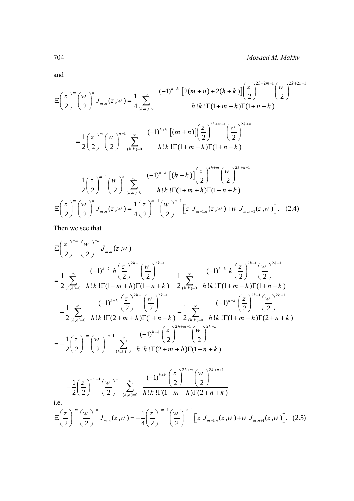and

704 *Mosaed M. Makky*  
\nand  
\n
$$
\Xi\left(\frac{z}{2}\right)^{m} \left(\frac{w}{2}\right)^{n} J_{m,n}(z,w) = \frac{1}{4} \sum_{(h,k)=0}^{\infty} \frac{(-1)^{h+k} \left[2(m+n)+2(h+k)\right] \left(\frac{z}{2}\right)^{2h+2m-1} \left(\frac{w}{2}\right)^{2k+2n-1}}{h!k! \Gamma(1+m+h) \Gamma(1+n+k)}
$$
\n
$$
= \frac{1}{2} \left(\frac{z}{2}\right)^{m} \left(\frac{w}{2}\right)^{n-1} \sum_{(h,k)=0}^{\infty} \frac{(-1)^{h+k} \left[(m+n)\right] \left(\frac{z}{2}\right)^{2h+m-1} \left(\frac{w}{2}\right)^{2k+n}}{h!k! \Gamma(1+m+h) \Gamma(1+n+k)}
$$
\n
$$
+ \frac{1}{2} \left(\frac{z}{2}\right)^{m-1} \left(\frac{w}{2}\right)^{n} \sum_{(h,k)=0}^{\infty} \frac{(-1)^{h+k} \left[(h+k)\right] \left(\frac{z}{2}\right)^{2h+m} \left(\frac{w}{2}\right)^{2k+n-1}}{h!k! \Gamma(1+m+h) \Gamma(1+n+k)}
$$
\n
$$
\Xi\left(\frac{z}{2}\right)^{m} \left(\frac{w}{2}\right)^{n} J_{m,n}(z,w) = \frac{1}{4} \left(\frac{z}{2}\right)^{m-1} \left(\frac{w}{2}\right)^{n-1} \left[z J_{m-1,n}(z,w) + w J_{m,n-1}(z,w)\right]. \quad (2.4)
$$

Then we see that  
\n
$$
\Xi\left(\frac{z}{2}\right)^{-m}\left(\frac{w}{2}\right)^{-n}J_{m,n}(z,w) =
$$
\n
$$
=\frac{1}{2}\sum_{(h,k)=0}^{\infty} \frac{(-1)^{h+k} h\left(\frac{z}{2}\right)^{2h-1} \left(\frac{w}{2}\right)^{2k-1}}{h!k!\prod(1+m+h)\prod(1+n+k)} + \frac{1}{2}\sum_{(h,k)=0}^{\infty} \frac{(-1)^{h+k} k\left(\frac{z}{2}\right)^{2h-1} \left(\frac{w}{2}\right)^{2k-1}}{h!k!\prod(1+m+h)\prod(1+n+k)} = -\frac{1}{2}\sum_{(h,k)=0}^{\infty} \frac{(-1)^{h+k} \left(\frac{z}{2}\right)^{2h-1} \left(\frac{w}{2}\right)^{2k-1}}{h!k!\prod(1+m+h)\prod(1+n+k)} - \frac{1}{2}\sum_{(h,k)=0}^{\infty} \frac{(-1)^{h+k} \left(\frac{z}{2}\right)^{2h-1} \left(\frac{w}{2}\right)^{2k-1}}{h!k!\prod(1+m+h)\prod(2+n+k)} = -\frac{1}{2}\left(\frac{z}{2}\right)^{-m} \left(\frac{w}{2}\right)^{-n-1} \sum_{(h,k)=0}^{\infty} \frac{(-1)^{h+k} \left(\frac{z}{2}\right)^{2h+m}}{h!k!\prod(2+m+h)\prod(1+n+k)} - \frac{1}{2}\left(\frac{z}{2}\right)^{-m-1} \left(\frac{w}{2}\right)^{-n-1} \sum_{(h,k)=0}^{\infty} \frac{(-1)^{h+k} \left(\frac{z}{2}\right)^{2h+m}}{h!k!\prod(1+m+h)\prod(2+n+k)} - \frac{1}{2}\left(\frac{z}{2}\right)^{-m-1} \left(\frac{w}{2}\right)^{-n} \sum_{(h,k)=0}^{\infty} \frac{(-1)^{h+k} \left(\frac{z}{2}\right)^{2h+m} \left(\frac{w}{2}\right)^{2k+n+1}}{h!k!\prod(1+m+h)\prod(2+n+k)}.
$$
\ni.e.  
\n
$$
\Xi\left(\frac{z}{2}\right)^{-m} \left(\frac{w}{2}\right)^{-n} J_{m,n}(z,w) = -\frac{1}{4}\left(\frac{z}{2}\right)^{-
$$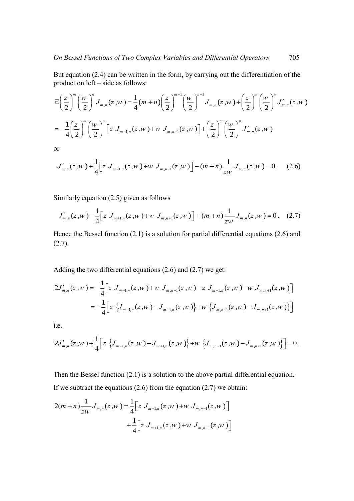But equation (2.4) can be written in the form, by carrying out the differentiation of the product on left – side as follows:<br>  $\int (z)^m (w)^n$ ,  $\int (z)^{m-1} (w)^{n-1}$ ,  $\int (z)^m (w)^n$ ,  $\int (z)^m (w)^n$ product on left – side as follows:<br>  $\pi(z)^{m} (w)^{n}$ ,  $\pi(z) = \frac{1}{(w+n)} (z)^{m-1} (w)^{n-1}$ ,  $\pi(z) = \frac{z}{m} (w)^{n}$ ,  $\pi(z) = \frac{1}{(w+n)} (z)^{m-1}$ 

But equation (2.4) can be written in the form, by carrying out the differentiation of the  
product on left - side as follows:  

$$
\Xi\left(\frac{z}{2}\right)^m \left(\frac{w}{2}\right)^n J_{m,n}(z,w) = \frac{1}{4}(m+n)\left(\frac{z}{2}\right)^{m-1} \left(\frac{w}{2}\right)^{n-1} J_{m,n}(z,w) + \left(\frac{z}{2}\right)^m \left(\frac{w}{2}\right)^n J'_{m,n}(z,w)
$$

$$
= -\frac{1}{4}\left(\frac{z}{2}\right)^m \left(\frac{w}{2}\right)^n \left[z J_{m-1,n}(z,w) + w J_{m,n-1}(z,w)\right] + \left(\frac{z}{2}\right)^m \left(\frac{w}{2}\right)^n J'_{m,n}(z,w)
$$

or

$$
J'_{m,n}(z,w) + \frac{1}{4} \Big[ z J_{m-1,n}(z,w) + w J_{m,n-1}(z,w) \Big] - (m+n) \frac{1}{zw} J_{m,n}(z,w) = 0. \quad (2.6)
$$

Similarly equation (2.5) given as follows

imilarly equation (2.5) given as follows  
\n
$$
J'_{m,n}(z, w) - \frac{1}{4} \Big[ z J_{m+1,n}(z, w) + w J_{m,n+1}(z, w) \Big] + (m+n) \frac{1}{zw} J_{m,n}(z, w) = 0.
$$
\n(2.7)

Hence the Bessel function (2.1) is a solution for partial differential equations (2.6) and  $(2.7).$ 

Adding the two differential equations (2.6) and (2.7) we get:

Adding the two differential equations (2.6) and (2.7) we get:  
\n
$$
2J'_{m,n}(z,w) = -\frac{1}{4} \Big[ z J_{m-1,n}(z,w) + w J_{m,n-1}(z,w) - z J_{m+1,n}(z,w) - w J_{m,n+1}(z,w) \Big]
$$
\n
$$
= -\frac{1}{4} \Big[ z \Big\{ J_{m-1,n}(z,w) - J_{m+1,n}(z,w) \Big\} + w \Big\{ J_{m,n-1}(z,w) - J_{m,n+1}(z,w) \Big\} \Big]
$$
\ni.e.  
\n
$$
2J'_{m,n}(z,w) + \frac{1}{4} \Big[ z \Big\{ J_{m-1,n}(z,w) - J_{m+1,n}(z,w) \Big\} + w \Big\{ J_{m,n-1}(z,w) - J_{m,n+1}(z,w) \Big\} \Big] = 0.
$$

i.e.

i.e.  
\n
$$
2J'_{m,n}(z,w) + \frac{1}{4} \Big[ z \left\{ J_{m-1,n}(z,w) - J_{m+1,n}(z,w) \right\} + w \left\{ J_{m,n-1}(z,w) - J_{m,n+1}(z,w) \right\} \Big] = 0.
$$

Then the Bessel function (2.1) is a solution to the above partial differential equation. If we subtract the equations  $(2.6)$  from the equation  $(2.7)$  we obtain:

If we subtract the equations (2.6) from the equation (2.7) we obtain:  
\n
$$
2(m+n)\frac{1}{zw}J_{m,n}(z,w) = \frac{1}{4}\Big[z J_{m-1,n}(z,w) + w J_{m,n-1}(z,w)\Big] + \frac{1}{4}\Big[z J_{m+1,n}(z,w) + w J_{m,n+1}(z,w)\Big]
$$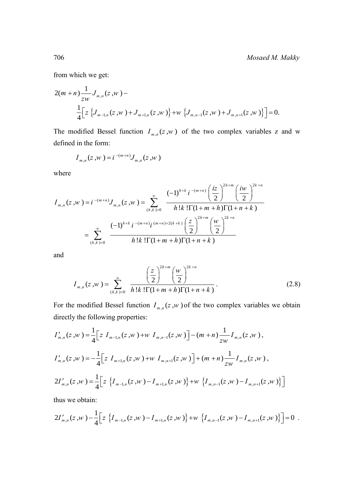from which we get:

from which we get:  
\n
$$
2(m+n)\frac{1}{zw}J_{m,n}(z,w) - \frac{1}{4}\Big[z\left\{J_{m-1,n}(z,w)+J_{m+1,n}(z,w)\right\}+w\left\{J_{m,n-1}(z,w)+J_{m,n+1}(z,w)\right\}\Big]=0.
$$

The modified Bessel function  $I_{m,n}(z, w)$  of the two complex variables z and w defined in the form:

$$
I_{m,n}(z,w) = i^{-(m+n)} J_{m,n}(z,w)
$$

where

where  
\n
$$
I_{m,n}(z, w) = i^{-(m+n)} J_{m,n}(z, w) = \sum_{(h,k)=0}^{\infty} \frac{(-1)^{h+k} i^{-(m+n)} \left(\frac{iz}{2}\right)^{2h+m} \left(\frac{iw}{2}\right)^{2k+n}}{h!k! \Gamma(1+m+h) \Gamma(1+n+k)}
$$
\n
$$
= \sum_{(h,k)=0}^{\infty} \frac{(-1)^{h+k} i^{-(m+n)} i^{(m+n)+2(k+k)} \left(\frac{z}{2}\right)^{2h+m} \left(\frac{w}{2}\right)^{2k+n}}{h!k! \Gamma(1+m+h) \Gamma(1+n+k)}
$$

and

$$
I_{m,n}(z,w) = \sum_{(h,k)=0}^{\infty} \frac{\left(\frac{z}{2}\right)^{2h+m} \left(\frac{w}{2}\right)^{2k+n}}{h!k!\Gamma(1+m+h)\Gamma(1+n+k)}.
$$
 (2.8)

For the modified Bessel function  $I_{m,n}(z, w)$  of the two complex variables we obtain<br>directly the following properties:<br> $I'_{m,n}(z, w) = \frac{1}{4} \Big[ z I_{m-1,n}(z, w) + w I_{m,n-1}(z, w) \Big] - (m+n) \frac{1}{zw} I_{m,n}(z, w)$ ,

directly the following properties:  
\n
$$
I'_{m,n}(z,w) = \frac{1}{4} \Big[ z I_{m-1,n}(z,w) + w I_{m,n-1}(z,w) \Big] - (m+n) \frac{1}{zw} I_{m,n}(z,w),
$$
\n
$$
I'_{m,n}(z,w) = -\frac{1}{4} \Big[ z I_{m+1,n}(z,w) + w I_{m,n+1}(z,w) \Big] + (m+n) \frac{1}{zw} I_{m,n}(z,w),
$$
\n
$$
2I'_{m,n}(z,w) = \frac{1}{4} \Big[ z \Big\{ I_{m-1,n}(z,w) - I_{m+1,n}(z,w) \Big\} + w \Big\{ I_{m,n-1}(z,w) - I_{m,n+1}(z,w) \Big\} \Big]
$$
\nthus we obtain:  
\n
$$
2I'_{m,n}(z,w) - \frac{1}{4} \Big[ z \Big\{ I_{m-1,n}(z,w) - I_{m+1,n}(z,w) \Big\} + w \Big\{ I_{m,n-1}(z,w) - I_{m,n+1}(z,w) \Big\} \Big] = 0.
$$

thus we obtain:

thus we obtain:  
\n
$$
2I'_{m,n}(z,w) - \frac{1}{4} \Big[ z \left\{ I_{m-1,n}(z,w) - I_{m+1,n}(z,w) \right\} + w \left\{ I_{m,n-1}(z,w) - I_{m,n+1}(z,w) \right\} \Big] = 0.
$$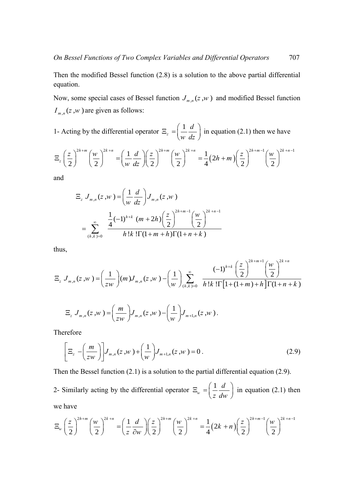Then the modified Bessel function (2.8) is a solution to the above partial differential equation.

Now, some special cases of Bessel function  $J_{m,n}(z, w)$  and modified Bessel function  $I_{m,n}(z, w)$  are given as follows:

1- Acting by the differential operator 
$$
\Xi_z = \left(\frac{1}{w} \frac{d}{dz}\right)
$$
 in equation (2.1) then we have  
\n
$$
\Xi_z \left(\frac{z}{2}\right)^{2h+m} \left(\frac{w}{2}\right)^{2k+n} = \left(\frac{1}{w} \frac{d}{dz}\right) \left(\frac{z}{2}\right)^{2h+m} \left(\frac{w}{2}\right)^{2k+n} = \frac{1}{4} (2h+m) \left(\frac{z}{2}\right)^{2h+m-1} \left(\frac{w}{2}\right)^{2k+n-1}
$$

and

$$
\Xi_z J_{m,n}(z, w) = \left(\frac{1}{w} \frac{d}{dz}\right) J_{m,n}(z, w)
$$

$$
= \sum_{(h,k)=0}^{\infty} \frac{\frac{1}{4}(-1)^{h+k} (m+2h) \left(\frac{z}{2}\right)^{2h+m-1} \left(\frac{w}{2}\right)^{2k+n-1}}{h!k! \Gamma(1+m+h) \Gamma(1+n+k)}
$$

thus,

thus,  
\n
$$
h!k!1(1+m+h)1(1+n+k)
$$
\nthus,  
\n
$$
\Xi_z J_{m,n}(z,w) = \left(\frac{1}{zw}\right)(m)J_{m,n}(z,w) - \left(\frac{1}{w}\right)\sum_{(h,k)=0}^{\infty} \frac{(-1)^{h+k} \left(\frac{z}{2}\right)^{2h+m+1} \left(\frac{w}{2}\right)^{2k+n}}{h!k! \Gamma[1+(1+m)+h] \Gamma(1+n+k)}
$$

$$
\Xi_z J_{m,n}(z,w) = \left(\frac{m}{zw}\right) J_{m,n}(z,w) - \left(\frac{1}{w}\right) J_{m+1,n}(z,w).
$$

Therefore

$$
\left[\Xi_z - \left(\frac{m}{zw}\right)\right] J_{m,n}(z,w) + \left(\frac{1}{w}\right) J_{m+1,n}(z,w) = 0.
$$
\n(2.9)

Then the Bessel function (2.1) is a solution to the partial differential equation (2.9).

2- Similarly acting by the differential operator  $\Xi_{w} = \left( \frac{1}{2} \right)$ *w d*  $\Xi_w = \left(\frac{1}{z} \frac{d}{dw}\right)$  in equation (2.1) then<br>  $\Xi_w = \frac{1}{4} (2k+n) \left(\frac{z}{2}\right)^{2h+m-1} \left(\frac{w}{2}\right)^{2k+n-1}$ we have

we have  
\n
$$
\Xi_w \left(\frac{z}{2}\right)^{2h+m} \left(\frac{w}{2}\right)^{2k+n} = \left(\frac{1}{z} \frac{d}{\partial w}\right) \left(\frac{z}{2}\right)^{2h+m} \left(\frac{w}{2}\right)^{2k+n} = \frac{1}{4} (2k+n) \left(\frac{z}{2}\right)^{2h+m-1} \left(\frac{w}{2}\right)^{2k+n-1}
$$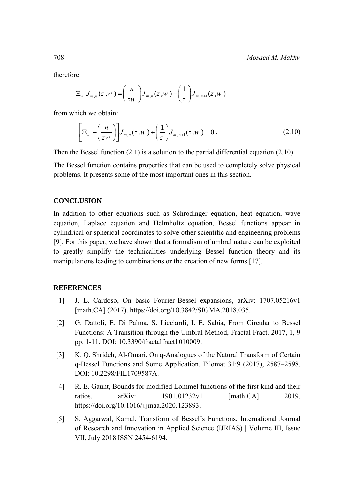therefore

e  
\n
$$
\Xi_{w} J_{m,n}(z, w) = \left(\frac{n}{zw}\right) J_{m,n}(z, w) - \left(\frac{1}{z}\right) J_{m,n+1}(z, w)
$$

from which we obtain:

which we obtain:

\n
$$
\left[\Xi_w - \left(\frac{n}{zw}\right)\right] J_{m,n}(z,w) + \left(\frac{1}{z}\right) J_{m,n+1}(z,w) = 0.
$$
\n(2.10)

Then the Bessel function  $(2.1)$  is a solution to the partial differential equation  $(2.10)$ .

The Bessel function contains properties that can be used to completely solve physical problems. It presents some of the most important ones in this section.

### **CONCLUSION**

In addition to other equations such as Schrodinger equation, heat equation, wave equation, Laplace equation and Helmholtz equation, Bessel functions appear in cylindrical or spherical coordinates to solve other scientific and engineering problems [9]. For this paper, we have shown that a formalism of umbral nature can be exploited to greatly simplify the technicalities underlying Bessel function theory and its manipulations leading to combinations or the creation of new forms [17].

#### **REFERENCES**

- [1] J. L. Cardoso, On basic Fourier-Bessel expansions, arXiv: 1707.05216v1 [math.CA] (2017). https://doi.org/10.3842/SIGMA.2018.035.
- [2] G. Dattoli, E. Di Palma, S. Licciardi, I. E. Sabia, From Circular to Bessel Functions: A Transition through the Umbral Method, Fractal Fract. 2017, 1, 9 pp. 1-11. DOI: [10.3390/fractalfract1010009.](https://www.researchgate.net/deref/http%3A%2F%2Fdx.doi.org%2F10.3390%2Ffractalfract1010009?_sg%5B0%5D=Jfi9jRzjxPREvJuG9TKFzYgYuCNkjh5ahM0YvfQnP7RZ5n69CWa8CaIL7eTQbLlxVtIYJrU1kdRY3_kW5_g_76MP-A.X_V573qQS2pIIa9HXCfNiCY23_oCDrkh-B0I9CzloOwHwjBEXwhgmm67Vykf-_5YqiHpnyEu_b4K95FLB-unUw)
- [3] K. Q. Shrideh, Al-Omari, On q-Analogues of the Natural Transform of Certain q-Bessel Functions and Some Application, Filomat 31:9 (2017), 2587–2598. DOI: [10.2298/FIL1709587A.](https://www.researchgate.net/deref/http%3A%2F%2Fdx.doi.org%2F10.2298%2FFIL1709587A?_sg%5B0%5D=eSR-KjkR_MnS0VGPAsjTLuEtUFZ7cnnUf-bLVH3CkOhSjDmM5MwQF0S-GBWvy-iRkcxZ1drIktCPOh0iqlRm127eIw.T41sWyAha-w7AR0oK0dJKqOzcnB_z-u6SjQLdgG5s1v8v10vP2sc1uiHZL1J_3LGqjBUjSZUV7HX-Bgv8IgHaw)
- [4] R. E. Gaunt, Bounds for modified Lommel functions of the first kind and their ratios. arXiv: 1901.01232v1 [math.CA] 2019. [https://doi.org/10.1016/j.jmaa.2020.123893.](https://doi.org/10.1016/j.jmaa.2020.123893)
- [5] S. Aggarwal, Kamal, Transform of Bessel's Functions, International Journal of Research and Innovation in Applied Science (IJRIAS) | Volume III, Issue VII, July 2018|ISSN 2454-6194.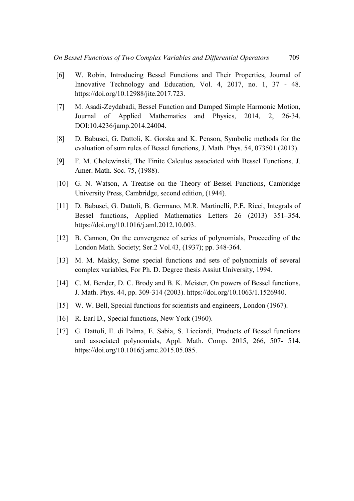- [6] W. Robin, Introducing Bessel Functions and Their Properties, Journal of Innovative Technology and Education, Vol. 4, 2017, no. 1, 37 - 48. https://doi.org/10.12988/jite.2017.723.
- [7] M. Asadi-Zeydabadi, Bessel Function and Damped Simple Harmonic Motion, Journal of Applied Mathematics and Physics, 2014, 2, 26-34. [DOI:10.4236/jamp.2014.24004.](http://www.scirp.org/journal/PaperInformation.aspx?PaperID=43723)
- [8] D. Babusci, G. Dattoli, K. Gorska and K. Penson, Symbolic methods for the evaluation of sum rules of Bessel functions, J. Math. Phys. 54, 073501 (2013).
- [9] F. M. Cholewinski, The Finite Calculus associated with Bessel Functions, J. Amer. Math. Soc. 75, (1988).
- [10] G. N. Watson, A Treatise on the Theory of Bessel Functions, Cambridge University Press, Cambridge, second edition, (1944).
- [11] D. Babusci, G. Dattoli, B. Germano, M.R. Martinelli, P.E. Ricci, Integrals of Bessel functions, Applied Mathematics Letters 26 (2013) 351–354. [https://doi.org/10.1016/j.aml.2012.10.003.](https://doi.org/10.1016/j.aml.2012.10.003)
- [12] B. Cannon, On the convergence of series of polynomials, Proceeding of the London Math. Society; Ser.2 Vol.43, (1937); pp. 348-364.
- [13] M. M. Makky, Some special functions and sets of polynomials of several complex variables, For Ph. D. Degree thesis Assiut University, 1994.
- [14] C. M. Bender, D. C. Brody and B. K. Meister, On powers of Bessel functions, J. Math. Phys. 44, pp. 309-314 (2003). [https://doi.org/10.1063/1.1526940.](https://doi.org/10.1063/1.1526940)
- [15] W. W. Bell, Special functions for scientists and engineers, London (1967).
- [16] R. Earl D., Special functions, New York (1960).
- [17] G. Dattoli, E. di Palma, E. Sabia, S. Licciardi, Products of Bessel functions and associated polynomials, Appl. Math. Comp. 2015, 266, 507- 514. [https://doi.org/10.1016/j.amc.2015.05.085.](https://doi.org/10.1016/j.amc.2015.05.085)